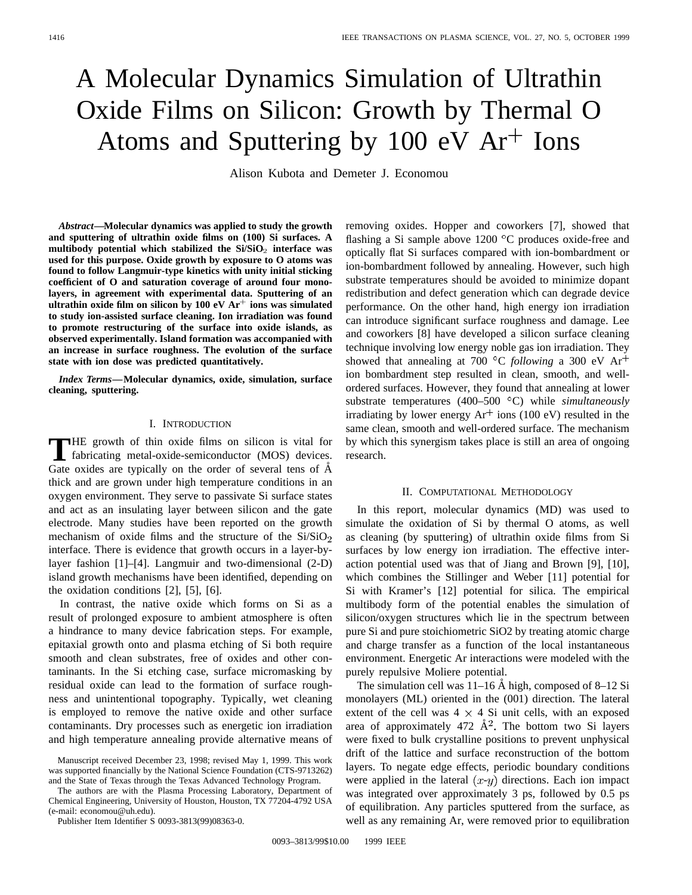# A Molecular Dynamics Simulation of Ultrathin Oxide Films on Silicon: Growth by Thermal O Atoms and Sputtering by 100 eV  $Ar<sup>+</sup>$  Ions

Alison Kubota and Demeter J. Economou

*Abstract—***Molecular dynamics was applied to study the growth and sputtering of ultrathin oxide films on (100) Si surfaces. A multibody potential which stabilized the Si/SiO**<sup>2</sup> **interface was used for this purpose. Oxide growth by exposure to O atoms was found to follow Langmuir-type kinetics with unity initial sticking coefficient of O and saturation coverage of around four monolayers, in agreement with experimental data. Sputtering of an ultrathin oxide film on silicon by 100 eV Ar**<sup>+</sup> **ions was simulated to study ion-assisted surface cleaning. Ion irradiation was found to promote restructuring of the surface into oxide islands, as observed experimentally. Island formation was accompanied with an increase in surface roughness. The evolution of the surface state with ion dose was predicted quantitatively.**

*Index Terms—***Molecular dynamics, oxide, simulation, surface cleaning, sputtering.**

## I. INTRODUCTION

**T**HE growth of thin oxide films on silicon is vital for fabricating metal-oxide-semiconductor (MOS) devices. Gate oxides are typically on the order of several tens of  $\AA$ thick and are grown under high temperature conditions in an oxygen environment. They serve to passivate Si surface states and act as an insulating layer between silicon and the gate electrode. Many studies have been reported on the growth mechanism of oxide films and the structure of the  $Si/SiO<sub>2</sub>$ interface. There is evidence that growth occurs in a layer-bylayer fashion [1]–[4]. Langmuir and two-dimensional (2-D) island growth mechanisms have been identified, depending on the oxidation conditions [2], [5], [6].

In contrast, the native oxide which forms on Si as a result of prolonged exposure to ambient atmosphere is often a hindrance to many device fabrication steps. For example, epitaxial growth onto and plasma etching of Si both require smooth and clean substrates, free of oxides and other contaminants. In the Si etching case, surface micromasking by residual oxide can lead to the formation of surface roughness and unintentional topography. Typically, wet cleaning is employed to remove the native oxide and other surface contaminants. Dry processes such as energetic ion irradiation and high temperature annealing provide alternative means of

The authors are with the Plasma Processing Laboratory, Department of Chemical Engineering, University of Houston, Houston, TX 77204-4792 USA (e-mail: economou@uh.edu).

Publisher Item Identifier S 0093-3813(99)08363-0.

removing oxides. Hopper and coworkers [7], showed that flashing a Si sample above  $1200 °C$  produces oxide-free and optically flat Si surfaces compared with ion-bombardment or ion-bombardment followed by annealing. However, such high substrate temperatures should be avoided to minimize dopant redistribution and defect generation which can degrade device performance. On the other hand, high energy ion irradiation can introduce significant surface roughness and damage. Lee and coworkers [8] have developed a silicon surface cleaning technique involving low energy noble gas ion irradiation. They showed that annealing at 700  $\rm{^{\circ}C}$  *following* a 300 eV Ar<sup>+</sup> ion bombardment step resulted in clean, smooth, and wellordered surfaces. However, they found that annealing at lower substrate temperatures (400–500 °C) while *simultaneously* irradiating by lower energy  $Ar^+$  ions (100 eV) resulted in the same clean, smooth and well-ordered surface. The mechanism by which this synergism takes place is still an area of ongoing research.

## II. COMPUTATIONAL METHODOLOGY

In this report, molecular dynamics (MD) was used to simulate the oxidation of Si by thermal O atoms, as well as cleaning (by sputtering) of ultrathin oxide films from Si surfaces by low energy ion irradiation. The effective interaction potential used was that of Jiang and Brown [9], [10], which combines the Stillinger and Weber [11] potential for Si with Kramer's [12] potential for silica. The empirical multibody form of the potential enables the simulation of silicon/oxygen structures which lie in the spectrum between pure Si and pure stoichiometric SiO2 by treating atomic charge and charge transfer as a function of the local instantaneous environment. Energetic Ar interactions were modeled with the purely repulsive Moliere potential.

The simulation cell was  $11-16$  Å high, composed of 8–12 Si monolayers (ML) oriented in the (001) direction. The lateral extent of the cell was  $4 \times 4$  Si unit cells, with an exposed area of approximately 472  $\AA$ <sup>2</sup>. The bottom two Si layers were fixed to bulk crystalline positions to prevent unphysical drift of the lattice and surface reconstruction of the bottom layers. To negate edge effects, periodic boundary conditions were applied in the lateral  $(x-y)$  directions. Each ion impact was integrated over approximately 3 ps, followed by 0.5 ps of equilibration. Any particles sputtered from the surface, as well as any remaining Ar, were removed prior to equilibration

Manuscript received December 23, 1998; revised May 1, 1999. This work was supported financially by the National Science Foundation (CTS-9713262) and the State of Texas through the Texas Advanced Technology Program.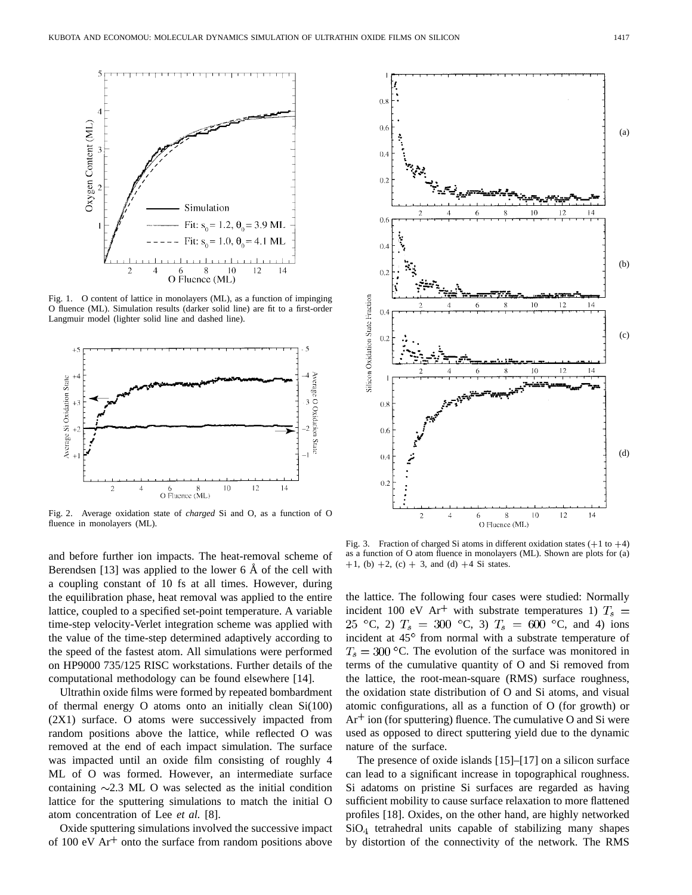

Fig. 1. O content of lattice in monolayers (ML), as a function of impinging O fluence (ML). Simulation results (darker solid line) are fit to a first-order Langmuir model (lighter solid line and dashed line).



Fig. 2. Average oxidation state of *charged* Si and O, as a function of O fluence in monolayers (ML).

and before further ion impacts. The heat-removal scheme of Berendsen [13] was applied to the lower  $6 \text{ Å}$  of the cell with a coupling constant of 10 fs at all times. However, during the equilibration phase, heat removal was applied to the entire lattice, coupled to a specified set-point temperature. A variable time-step velocity-Verlet integration scheme was applied with the value of the time-step determined adaptively according to the speed of the fastest atom. All simulations were performed on HP9000 735/125 RISC workstations. Further details of the computational methodology can be found elsewhere [14].

Ultrathin oxide films were formed by repeated bombardment of thermal energy O atoms onto an initially clean Si(100) (2X1) surface. O atoms were successively impacted from random positions above the lattice, while reflected O was removed at the end of each impact simulation. The surface was impacted until an oxide film consisting of roughly 4 ML of O was formed. However, an intermediate surface containing  $\sim$ 2.3 ML O was selected as the initial condition lattice for the sputtering simulations to match the initial O atom concentration of Lee *et al.* [8].

Oxide sputtering simulations involved the successive impact of 100 eV  $Ar<sup>+</sup>$  onto the surface from random positions above



Fig. 3. Fraction of charged Si atoms in different oxidation states  $(+1 \text{ to } +4)$ as a function of O atom fluence in monolayers (ML). Shown are plots for (a)  $+1$ , (b)  $+2$ , (c)  $+3$ , and (d)  $+4$  Si states.

the lattice. The following four cases were studied: Normally incident 100 eV Ar<sup>+</sup> with substrate temperatures 1)  $T_s$  = 25 °C, 2)  $T_s = 300$  °C, 3)  $T_s = 600$  °C, and 4) ions incident at 45° from normal with a substrate temperature of  $T_s = 300$  °C. The evolution of the surface was monitored in terms of the cumulative quantity of O and Si removed from the lattice, the root-mean-square (RMS) surface roughness, the oxidation state distribution of O and Si atoms, and visual atomic configurations, all as a function of O (for growth) or  $Ar<sup>+</sup>$  ion (for sputtering) fluence. The cumulative O and Si were used as opposed to direct sputtering yield due to the dynamic nature of the surface.

The presence of oxide islands [15]–[17] on a silicon surface can lead to a significant increase in topographical roughness. Si adatoms on pristine Si surfaces are regarded as having sufficient mobility to cause surface relaxation to more flattened profiles [18]. Oxides, on the other hand, are highly networked  $SiO<sub>4</sub>$  tetrahedral units capable of stabilizing many shapes by distortion of the connectivity of the network. The RMS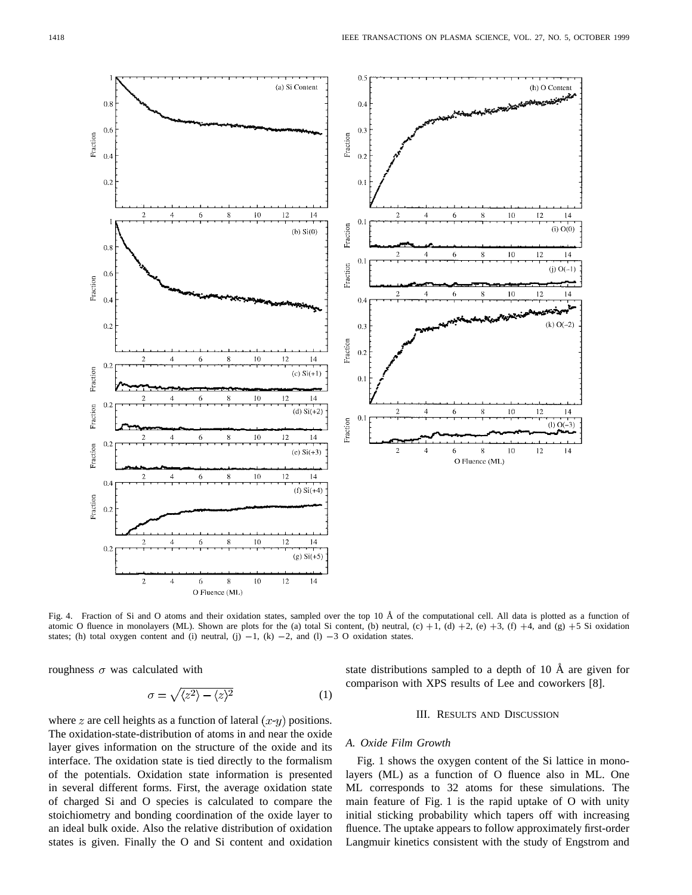

Fig. 4. Fraction of Si and O atoms and their oxidation states, sampled over the top 10 Å of the computational cell. All data is plotted as a function of atomic O fluence in monolayers (ML). Shown are plots for the (a) total Si content, (b) neutral, (c)  $+1$ , (d)  $+2$ , (e)  $+3$ , (f)  $+4$ , and (g)  $+5$  Si oxidation Fig. 4. Fraction of Si and O atoms and their oxidation states, sampled over the top 10 Å of the tomic O fluence in monolayers (ML). Shown are plots for the (a) total Si content, (b) neutral, states; (h) total oxygen conte

roughness  $\sigma$  was calculated with

$$
\sigma = \sqrt{\langle z^2 \rangle - \langle z \rangle^2} \tag{1}
$$

state distributions sampled to a depth of 10  $\AA$  are given for comparison with XPS results of Lee and coworkers [8].

# III. RESULTS AND DISCUSSION

# *A. Oxide Film Growth*

Fig. 1 shows the oxygen content of the Si lattice in monolayers (ML) as a function of O fluence also in ML. One ML corresponds to 32 atoms for these simulations. The main feature of Fig. 1 is the rapid uptake of O with unity initial sticking probability which tapers off with increasing fluence. The uptake appears to follow approximately first-order Langmuir kinetics consistent with the study of Engstrom and

where z are cell heights as a function of lateral  $(x-y)$  positions. The oxidation-state-distribution of atoms in and near the oxide layer gives information on the structure of the oxide and its interface. The oxidation state is tied directly to the formalism of the potentials. Oxidation state information is presented in several different forms. First, the average oxidation state of charged Si and O species is calculated to compare the stoichiometry and bonding coordination of the oxide layer to an ideal bulk oxide. Also the relative distribution of oxidation states is given. Finally the O and Si content and oxidation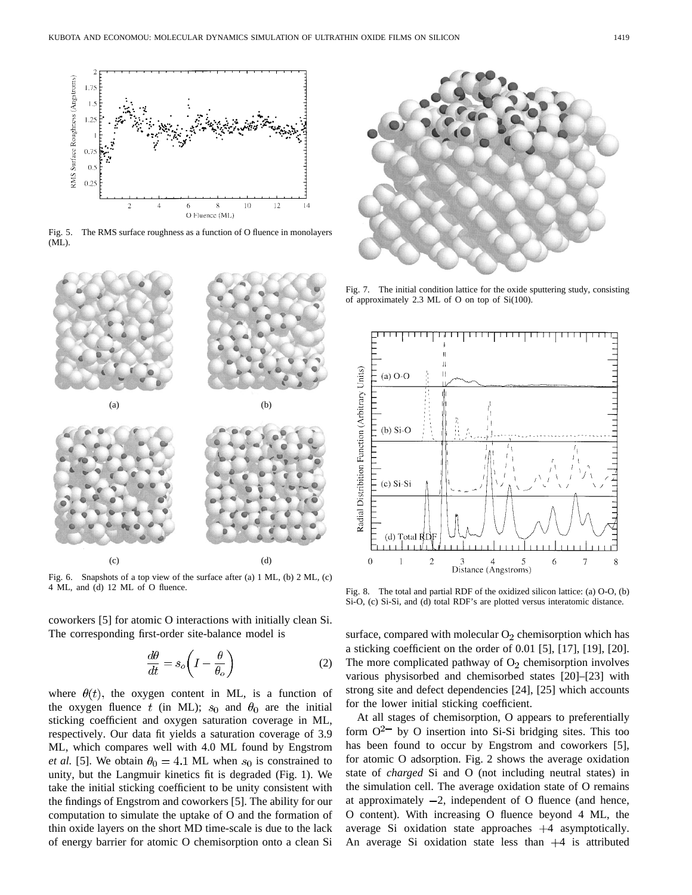

Fig. 5. The RMS surface roughness as a function of O fluence in monolayers (ML).



Fig. 6. Snapshots of a top view of the surface after (a) 1 ML, (b) 2 ML, (c) 4 ML, and (d) 12 ML of O fluence.

coworkers [5] for atomic O interactions with initially clean Si. The corresponding first-order site-balance model is

$$
\frac{d\theta}{dt} = s_o \left( I - \frac{\theta}{\theta_o} \right) \tag{2}
$$

where  $\theta(t)$ , the oxygen content in ML, is a function of the oxygen fluence t (in ML);  $s_0$  and  $\theta_0$  are the initial sticking coefficient and oxygen saturation coverage in ML, respectively. Our data fit yields a saturation coverage of 3.9 ML, which compares well with 4.0 ML found by Engstrom *et al.* [5]. We obtain  $\theta_0 = 4.1$  ML when  $s_0$  is constrained to unity, but the Langmuir kinetics fit is degraded (Fig. 1). We take the initial sticking coefficient to be unity consistent with the findings of Engstrom and coworkers [5]. The ability for our computation to simulate the uptake of O and the formation of thin oxide layers on the short MD time-scale is due to the lack of energy barrier for atomic O chemisorption onto a clean Si



Fig. 7. The initial condition lattice for the oxide sputtering study, consisting of approximately 2.3 ML of O on top of Si(100).



Fig. 8. The total and partial RDF of the oxidized silicon lattice: (a) O-O, (b) Si-O, (c) Si-Si, and (d) total RDF's are plotted versus interatomic distance.

surface, compared with molecular  $O_2$  chemisorption which has a sticking coefficient on the order of 0.01 [5], [17], [19], [20]. The more complicated pathway of  $O<sub>2</sub>$  chemisorption involves various physisorbed and chemisorbed states [20]–[23] with strong site and defect dependencies [24], [25] which accounts for the lower initial sticking coefficient.

At all stages of chemisorption, O appears to preferentially form  $O^{2-}$  by O insertion into Si-Si bridging sites. This too has been found to occur by Engstrom and coworkers [5], for atomic O adsorption. Fig. 2 shows the average oxidation state of *charged* Si and O (not including neutral states) in the simulation cell. The average oxidation state of O remains at approximately  $-2$ , independent of O fluence (and hence, O content). With increasing O fluence beyond 4 ML, the average Si oxidation state approaches  $+4$  asymptotically. An average Si oxidation state less than  $+4$  is attributed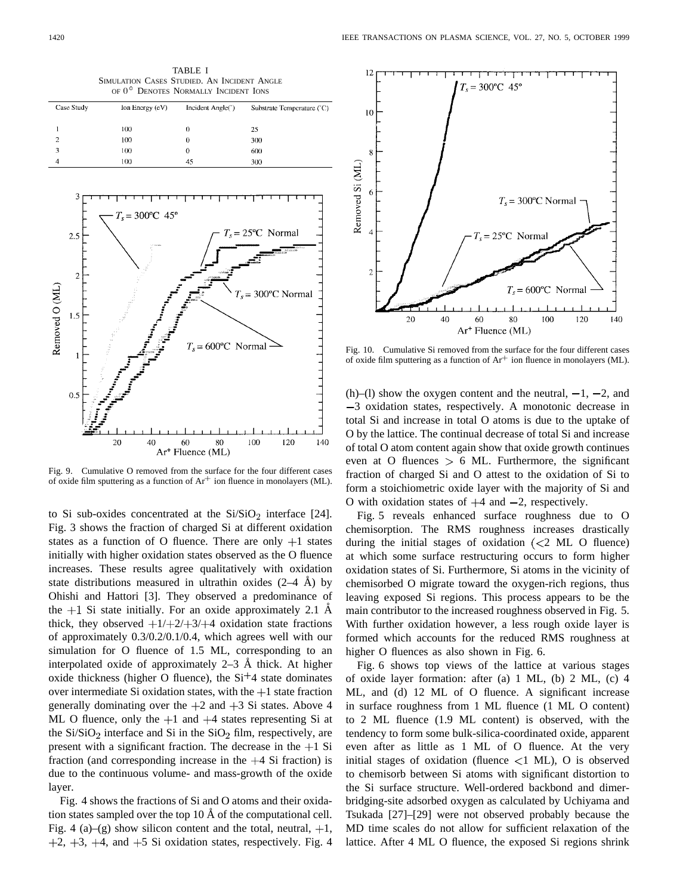| SIMULATION CASES STUDIED. AN INCIDENT ANGLE<br>OF 0° DENOTES NORMALLY INCIDENT IONS |                                |                            |
|-------------------------------------------------------------------------------------|--------------------------------|----------------------------|
| $\ln$ Energy $(eV)$                                                                 | Incident Angle( <sup>°</sup> ) | Substrate Temperature (°C) |
| 100                                                                                 | 0                              | 25                         |
| 100                                                                                 | 0                              | 300                        |
| 10 <sub>0</sub>                                                                     |                                | 600                        |
| 100                                                                                 | 45                             | 300                        |
|                                                                                     |                                |                            |

TABLE I



Fig. 9. Cumulative O removed from the surface for the four different cases of oxide film sputtering as a function of  $Ar^+$  ion fluence in monolayers (ML).

to Si sub-oxides concentrated at the  $Si/SiO<sub>2</sub>$  interface [24]. Fig. 3 shows the fraction of charged Si at different oxidation states as a function of O fluence. There are only  $+1$  states initially with higher oxidation states observed as the O fluence increases. These results agree qualitatively with oxidation state distributions measured in ultrathin oxides  $(2-4 \text{ Å})$  by Ohishi and Hattori [3]. They observed a predominance of the  $+1$  Si state initially. For an oxide approximately 2.1 Å thick, they observed  $\frac{+1}{+2}$  +3/ $\frac{+4}{+4}$  oxidation state fractions of approximately 0.3/0.2/0.1/0.4, which agrees well with our simulation for O fluence of 1.5 ML, corresponding to an interpolated oxide of approximately  $2-3$  Å thick. At higher oxide thickness (higher O fluence), the  $Si<sup>+</sup>4$  state dominates over intermediate Si oxidation states, with the  $+1$  state fraction generally dominating over the  $+2$  and  $+3$  Si states. Above 4 ML O fluence, only the  $+1$  and  $+4$  states representing Si at the  $Si/SiO<sub>2</sub>$  interface and Si in the  $SiO<sub>2</sub>$  film, respectively, are present with a significant fraction. The decrease in the  $+1$  Si fraction (and corresponding increase in the  $+4$  Si fraction) is due to the continuous volume- and mass-growth of the oxide layer.

Fig. 4 shows the fractions of Si and O atoms and their oxidation states sampled over the top  $10 \text{ Å}$  of the computational cell. Fig. 4 (a)–(g) show silicon content and the total, neutral,  $+1$ ,  $+2$ ,  $+3$ ,  $+4$ , and  $+5$  Si oxidation states, respectively. Fig. 4



Fig. 10. Cumulative Si removed from the surface for the four different cases of oxide film sputtering as a function of  $Ar^+$  ion fluence in monolayers (ML).

(h)–(l) show the oxygen content and the neutral,  $-1$ ,  $-2$ , and 3 oxidation states, respectively. A monotonic decrease in total Si and increase in total O atoms is due to the uptake of O by the lattice. The continual decrease of total Si and increase of total O atom content again show that oxide growth continues even at O fluences  $> 6$  ML. Furthermore, the significant fraction of charged Si and O attest to the oxidation of Si to form a stoichiometric oxide layer with the majority of Si and O with oxidation states of  $+4$  and  $-2$ , respectively.

Fig. 5 reveals enhanced surface roughness due to O chemisorption. The RMS roughness increases drastically during the initial stages of oxidation  $( $2$  ML O fluence)$ at which some surface restructuring occurs to form higher oxidation states of Si. Furthermore, Si atoms in the vicinity of chemisorbed O migrate toward the oxygen-rich regions, thus leaving exposed Si regions. This process appears to be the main contributor to the increased roughness observed in Fig. 5. With further oxidation however, a less rough oxide layer is formed which accounts for the reduced RMS roughness at higher O fluences as also shown in Fig. 6.

Fig. 6 shows top views of the lattice at various stages of oxide layer formation: after (a) 1 ML, (b) 2 ML, (c) 4 ML, and (d) 12 ML of O fluence. A significant increase in surface roughness from 1 ML fluence (1 ML O content) to 2 ML fluence (1.9 ML content) is observed, with the tendency to form some bulk-silica-coordinated oxide, apparent even after as little as 1 ML of O fluence. At the very initial stages of oxidation (fluence  $\langle 1 \text{ ML} \rangle$ , O is observed to chemisorb between Si atoms with significant distortion to the Si surface structure. Well-ordered backbond and dimerbridging-site adsorbed oxygen as calculated by Uchiyama and Tsukada [27]–[29] were not observed probably because the MD time scales do not allow for sufficient relaxation of the lattice. After 4 ML O fluence, the exposed Si regions shrink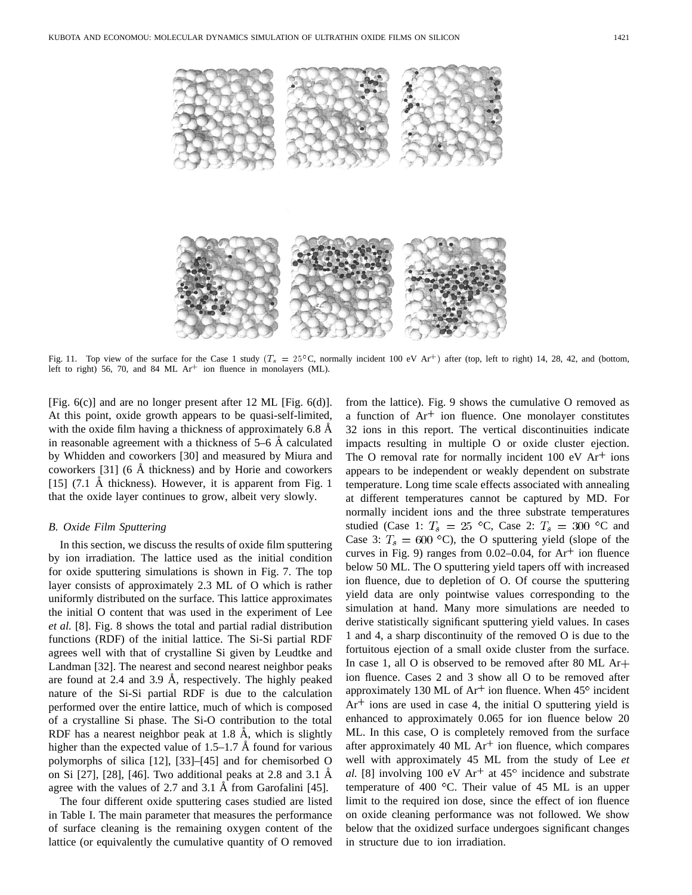

Fig. 11. Top view of the surface for the Case 1 study ( $T_s = 25^{\circ}$ C, normally incident 100 eV Ar<sup>+</sup>) after (top, left to right) 14, 28, 42, and (bottom, left to right) 56, 70, and 84 ML  $Ar^+$  ion fluence in monolayers (ML).

[Fig. 6(c)] and are no longer present after 12 ML [Fig. 6(d)]. At this point, oxide growth appears to be quasi-self-limited, with the oxide film having a thickness of approximately 6.8 Å in reasonable agreement with a thickness of  $5-6$  Å calculated by Whidden and coworkers [30] and measured by Miura and coworkers  $[31]$  (6 Å thickness) and by Horie and coworkers [15]  $(7.1 \text{ Å thickness})$ . However, it is apparent from Fig. 1 that the oxide layer continues to grow, albeit very slowly.

## *B. Oxide Film Sputtering*

In this section, we discuss the results of oxide film sputtering by ion irradiation. The lattice used as the initial condition for oxide sputtering simulations is shown in Fig. 7. The top layer consists of approximately 2.3 ML of O which is rather uniformly distributed on the surface. This lattice approximates the initial O content that was used in the experiment of Lee *et al.* [8]. Fig. 8 shows the total and partial radial distribution functions (RDF) of the initial lattice. The Si-Si partial RDF agrees well with that of crystalline Si given by Leudtke and Landman [32]. The nearest and second nearest neighbor peaks are found at  $2.4$  and  $3.9$  Å, respectively. The highly peaked nature of the Si-Si partial RDF is due to the calculation performed over the entire lattice, much of which is composed of a crystalline Si phase. The Si-O contribution to the total RDF has a nearest neighbor peak at 1.8  $\AA$ , which is slightly higher than the expected value of  $1.5-1.7$  Å found for various polymorphs of silica [12], [33]–[45] and for chemisorbed O on Si  $[27]$ ,  $[28]$ ,  $[46]$ . Two additional peaks at 2.8 and 3.1 Å agree with the values of 2.7 and 3.1 Å from Garofalini  $[45]$ .

The four different oxide sputtering cases studied are listed in Table I. The main parameter that measures the performance of surface cleaning is the remaining oxygen content of the lattice (or equivalently the cumulative quantity of O removed from the lattice). Fig. 9 shows the cumulative O removed as a function of  $Ar^+$  ion fluence. One monolayer constitutes 32 ions in this report. The vertical discontinuities indicate impacts resulting in multiple O or oxide cluster ejection. The O removal rate for normally incident  $100 \text{ eV}$  Ar<sup>+</sup> ions appears to be independent or weakly dependent on substrate temperature. Long time scale effects associated with annealing at different temperatures cannot be captured by MD. For normally incident ions and the three substrate temperatures studied (Case 1:  $T_s = 25$  °C, Case 2:  $T_s = 300$  °C and Case 3:  $T_s = 600$  °C), the O sputtering yield (slope of the curves in Fig. 9) ranges from 0.02–0.04, for  $Ar^+$  ion fluence below 50 ML. The O sputtering yield tapers off with increased ion fluence, due to depletion of O. Of course the sputtering yield data are only pointwise values corresponding to the simulation at hand. Many more simulations are needed to derive statistically significant sputtering yield values. In cases 1 and 4, a sharp discontinuity of the removed O is due to the fortuitous ejection of a small oxide cluster from the surface. In case 1, all O is observed to be removed after 80 ML Ar ion fluence. Cases 2 and 3 show all O to be removed after approximately 130 ML of  $Ar^+$  ion fluence. When  $45^\circ$  incident  $Ar<sup>+</sup>$  ions are used in case 4, the initial O sputtering yield is enhanced to approximately 0.065 for ion fluence below 20 ML. In this case, O is completely removed from the surface after approximately 40 ML  $Ar<sup>+</sup>$  ion fluence, which compares well with approximately 45 ML from the study of Lee *et al.* [8] involving 100 eV  $Ar^+$  at 45<sup>°</sup> incidence and substrate temperature of 400  $^{\circ}$ C. Their value of 45 ML is an upper limit to the required ion dose, since the effect of ion fluence on oxide cleaning performance was not followed. We show below that the oxidized surface undergoes significant changes in structure due to ion irradiation.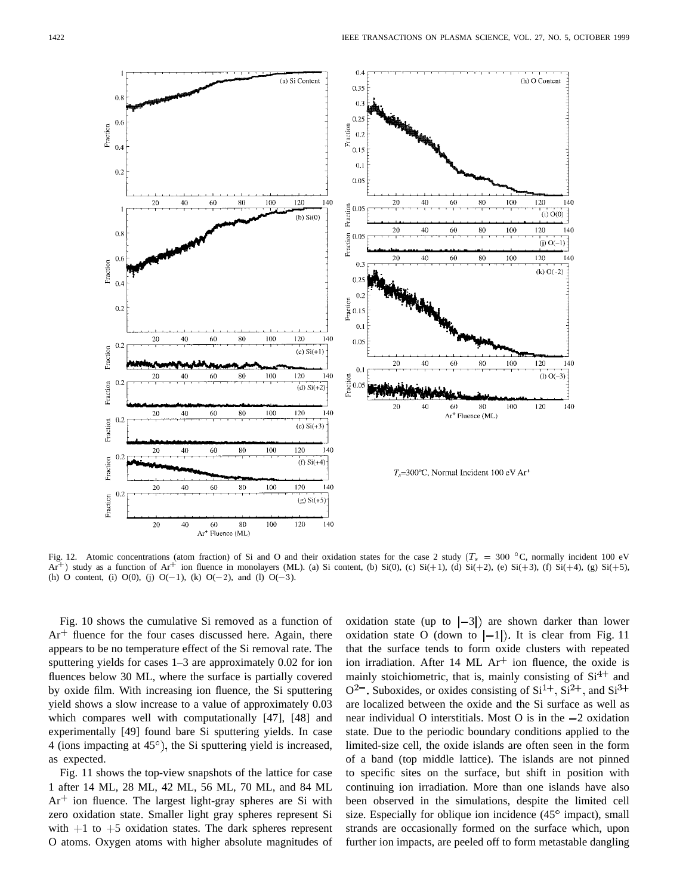

Fig. 12. Atomic concentrations (atom fraction) of Si and O and their oxidation states for the case 2 study ( $T_s = 300$  °C, normally incident 100 eV Ar<sup>+</sup>) study as a function of Ar<sup>+</sup> ion fluence in monolayers (ML). (a) Si content, (b) Si(0), (c) Si(+1), (d) Si(+2), (e) Si(+3), (f) Si(+4), (g) Si(+5), (h) O content, (i) O(0), (j) O(-1), (k) O(-2), and (l) O(-3).

Fig. 10 shows the cumulative Si removed as a function of  $Ar<sup>+</sup>$  fluence for the four cases discussed here. Again, there appears to be no temperature effect of the Si removal rate. The sputtering yields for cases 1–3 are approximately 0.02 for ion fluences below 30 ML, where the surface is partially covered by oxide film. With increasing ion fluence, the Si sputtering yield shows a slow increase to a value of approximately 0.03 which compares well with computationally [47], [48] and experimentally [49] found bare Si sputtering yields. In case 4 (ions impacting at  $45^\circ$ ), the Si sputtering yield is increased, as expected.

Fig. 11 shows the top-view snapshots of the lattice for case 1 after 14 ML, 28 ML, 42 ML, 56 ML, 70 ML, and 84 ML  $Ar<sup>+</sup>$  ion fluence. The largest light-gray spheres are Si with zero oxidation state. Smaller light gray spheres represent Si with  $+1$  to  $+5$  oxidation states. The dark spheres represent O atoms. Oxygen atoms with higher absolute magnitudes of oxidation state (up to  $|-3|$ ) are shown darker than lower oxidation state O (down to  $|-1|$ ). It is clear from Fig. 11 that the surface tends to form oxide clusters with repeated ion irradiation. After 14 ML  $Ar<sup>+</sup>$  ion fluence, the oxide is mainly stoichiometric, that is, mainly consisting of  $Si<sup>4+</sup>$  and  $O^{2-}$ . Suboxides, or oxides consisting of Si<sup>1+</sup>, Si<sup>2+</sup>, and Si<sup>3+</sup> are localized between the oxide and the Si surface as well as near individual O interstitials. Most O is in the  $-2$  oxidation state. Due to the periodic boundary conditions applied to the limited-size cell, the oxide islands are often seen in the form of a band (top middle lattice). The islands are not pinned to specific sites on the surface, but shift in position with continuing ion irradiation. More than one islands have also been observed in the simulations, despite the limited cell size. Especially for oblique ion incidence  $(45^{\circ}$  impact), small strands are occasionally formed on the surface which, upon further ion impacts, are peeled off to form metastable dangling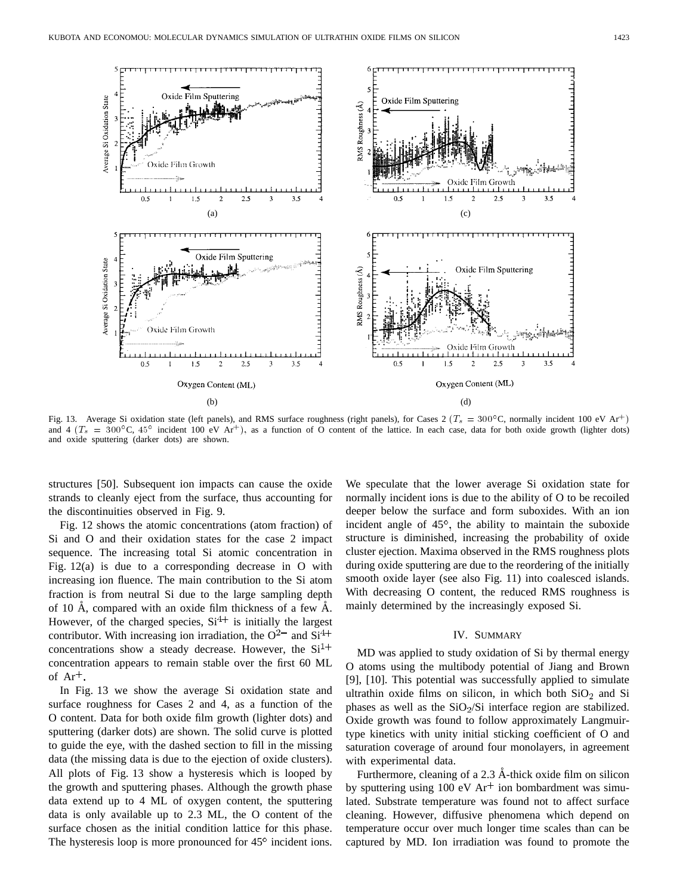

Fig. 13. Average Si oxidation state (left panels), and RMS surface roughness (right panels), for Cases 2 ( $T_s = 300^{\circ}$ C, normally incident 100 eV Ar<sup>+</sup>) and 4 ( $T_s = 300^{\circ}$ C, 45° incident 100 eV Ar<sup>+</sup>), as a function of O content of the lattice. In each case, data for both oxide growth (lighter dots) and oxide sputtering (darker dots) are shown.

structures [50]. Subsequent ion impacts can cause the oxide strands to cleanly eject from the surface, thus accounting for the discontinuities observed in Fig. 9.

Fig. 12 shows the atomic concentrations (atom fraction) of Si and O and their oxidation states for the case 2 impact sequence. The increasing total Si atomic concentration in Fig. 12(a) is due to a corresponding decrease in O with increasing ion fluence. The main contribution to the Si atom fraction is from neutral Si due to the large sampling depth of 10 Å, compared with an oxide film thickness of a few  $\AA$ . However, of the charged species,  $Si<sup>4+</sup>$  is initially the largest contributor. With increasing ion irradiation, the  $O^{2-}$  and  $Si^{4+}$ concentrations show a steady decrease. However, the  $Si<sup>1+</sup>$ concentration appears to remain stable over the first 60 ML of  $Ar^+$ .

In Fig. 13 we show the average Si oxidation state and surface roughness for Cases 2 and 4, as a function of the O content. Data for both oxide film growth (lighter dots) and sputtering (darker dots) are shown. The solid curve is plotted to guide the eye, with the dashed section to fill in the missing data (the missing data is due to the ejection of oxide clusters). All plots of Fig. 13 show a hysteresis which is looped by the growth and sputtering phases. Although the growth phase data extend up to 4 ML of oxygen content, the sputtering data is only available up to 2.3 ML, the O content of the surface chosen as the initial condition lattice for this phase. The hysteresis loop is more pronounced for  $45^\circ$  incident ions. We speculate that the lower average Si oxidation state for normally incident ions is due to the ability of O to be recoiled deeper below the surface and form suboxides. With an ion incident angle of  $45^{\circ}$ , the ability to maintain the suboxide structure is diminished, increasing the probability of oxide cluster ejection. Maxima observed in the RMS roughness plots during oxide sputtering are due to the reordering of the initially smooth oxide layer (see also Fig. 11) into coalesced islands. With decreasing O content, the reduced RMS roughness is mainly determined by the increasingly exposed Si.

## IV. SUMMARY

MD was applied to study oxidation of Si by thermal energy O atoms using the multibody potential of Jiang and Brown [9], [10]. This potential was successfully applied to simulate ultrathin oxide films on silicon, in which both  $SiO<sub>2</sub>$  and Si phases as well as the  $SiO<sub>2</sub>/Si$  interface region are stabilized. Oxide growth was found to follow approximately Langmuirtype kinetics with unity initial sticking coefficient of O and saturation coverage of around four monolayers, in agreement with experimental data.

Furthermore, cleaning of a  $2.3$  Å-thick oxide film on silicon by sputtering using 100 eV  $Ar<sup>+</sup>$  ion bombardment was simulated. Substrate temperature was found not to affect surface cleaning. However, diffusive phenomena which depend on temperature occur over much longer time scales than can be captured by MD. Ion irradiation was found to promote the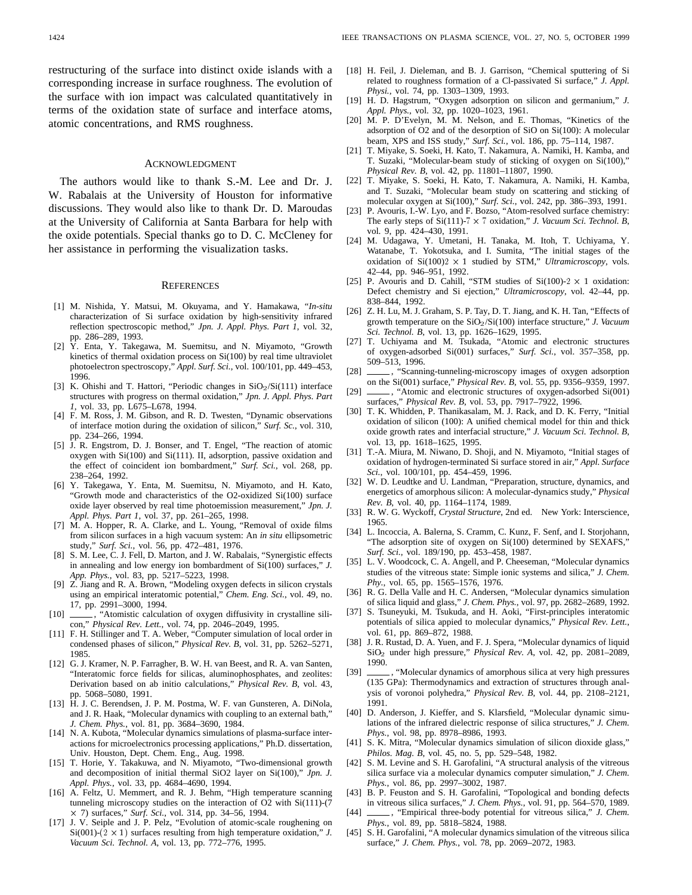### ACKNOWLEDGMENT

The authors would like to thank S.-M. Lee and Dr. J. W. Rabalais at the University of Houston for informative discussions. They would also like to thank Dr. D. Maroudas at the University of California at Santa Barbara for help with the oxide potentials. Special thanks go to D. C. McCleney for her assistance in performing the visualization tasks.

#### **REFERENCES**

- [1] M. Nishida, Y. Matsui, M. Okuyama, and Y. Hamakawa, "*In-situ* characterization of Si surface oxidation by high-sensitivity infrared reflection spectroscopic method," *Jpn. J. Appl. Phys. Part 1*, vol. 32, pp. 286–289, 1993.
- [2] Y. Enta, Y. Takegawa, M. Suemitsu, and N. Miyamoto, "Growth kinetics of thermal oxidation process on Si(100) by real time ultraviolet photoelectron spectroscopy," *Appl. Surf. Sci.*, vol. 100/101, pp. 449–453, 1996.
- [3] K. Ohishi and T. Hattori, "Periodic changes in  $SiO<sub>2</sub>/Si(111)$  interface structures with progress on thermal oxidation," *Jpn. J. Appl. Phys. Part 1*, vol. 33, pp. L675–L678, 1994.
- [4] F. M. Ross, J. M. Gibson, and R. D. Twesten, "Dynamic observations of interface motion during the oxidation of silicon," *Surf. Sc.*, vol. 310, pp. 234–266, 1994.
- [5] J. R. Engstrom, D. J. Bonser, and T. Engel, "The reaction of atomic oxygen with Si(100) and Si(111). II, adsorption, passive oxidation and the effect of coincident ion bombardment," *Surf. Sci.*, vol. 268, pp. 238–264, 1992.
- [6] Y. Takegawa, Y. Enta, M. Suemitsu, N. Miyamoto, and H. Kato, "Growth mode and characteristics of the O2-oxidized Si(100) surface oxide layer observed by real time photoemission measurement," *Jpn. J. Appl. Phys. Part 1*, vol. 37, pp. 261–265, 1998.
- [7] M. A. Hopper, R. A. Clarke, and L. Young, "Removal of oxide films from silicon surfaces in a high vacuum system: An *in situ* ellipsometric study," *Surf. Sci.*, vol. 56, pp. 472–481, 1976.
- [8] S. M. Lee, C. J. Fell, D. Marton, and J. W. Rabalais, "Synergistic effects in annealing and low energy ion bombardment of Si(100) surfaces," *J. App. Phys.*, vol. 83, pp. 5217–5223, 1998.
- [9] Z. Jiang and R. A. Brown, "Modeling oxygen defects in silicon crystals using an empirical interatomic potential," *Chem. Eng. Sci.*, vol. 49, no. 17, pp. 2991–3000, 1994.
- [10] , "Atomistic calculation of oxygen diffusivity in crystalline silicon," *Physical Rev. Lett.*, vol. 74, pp. 2046–2049, 1995.
- [11] F. H. Stillinger and T. A. Weber, "Computer simulation of local order in condensed phases of silicon," *Physical Rev. B*, vol. 31, pp. 5262–5271, 1985.
- [12] G. J. Kramer, N. P. Farragher, B. W. H. van Beest, and R. A. van Santen, "Interatomic force fields for silicas, aluminophosphates, and zeolites: Derivation based on ab initio calculations," *Physical Rev. B*, vol. 43, pp. 5068–5080, 1991.
- [13] H. J. C. Berendsen, J. P. M. Postma, W. F. van Gunsteren, A. DiNola, and J. R. Haak, "Molecular dynamics with coupling to an external bath," *J. Chem. Phys.*, vol. 81, pp. 3684–3690, 1984.
- [14] N. A. Kubota, "Molecular dynamics simulations of plasma-surface interactions for microelectronics processing applications," Ph.D. dissertation, Univ. Houston, Dept. Chem. Eng., Aug. 1998.
- [15] T. Horie, Y. Takakuwa, and N. Miyamoto, "Two-dimensional growth and decomposition of initial thermal SiO2 layer on Si(100)," *Jpn. J. Appl. Phys.*, vol. 33, pp. 4684–4690, 1994.
- [16] A. Feltz, U. Memmert, and R. J. Behm, "High temperature scanning tunneling microscopy studies on the interaction of O2 with Si(111)-(7 - 7) surfaces," *Surf. Sci.*, vol. 314, pp. 34–56, 1994.
- [17] J. V. Seiple and J. P. Pelz, "Evolution of atomic-scale roughening on  $Si(001)$ - $(2 \times 1)$  surfaces resulting from high temperature oxidation," *J*. *Vacuum Sci. Technol. A*, vol. 13, pp. 772–776, 1995.
- [18] H. Feil, J. Dieleman, and B. J. Garrison, "Chemical sputtering of Si related to roughness formation of a Cl-passivated Si surface," *J. Appl. Physi.*, vol. 74, pp. 1303–1309, 1993.
- [19] H. D. Hagstrum, "Oxygen adsorption on silicon and germanium," *J. Appl. Phys.*, vol. 32, pp. 1020–1023, 1961.
- [20] M. P. D'Evelyn, M. M. Nelson, and E. Thomas, "Kinetics of the adsorption of O2 and of the desorption of SiO on Si(100): A molecular beam, XPS and ISS study," *Surf. Sci.*, vol. 186, pp. 75–114, 1987.
- [21] T. Miyake, S. Soeki, H. Kato, T. Nakamura, A. Namiki, H. Kamba, and T. Suzaki, "Molecular-beam study of sticking of oxygen on Si(100)," *Physical Rev. B*, vol. 42, pp. 11801–11807, 1990.
- [22] T. Miyake, S. Soeki, H. Kato, T. Nakamura, A. Namiki, H. Kamba, and T. Suzaki, "Molecular beam study on scattering and sticking of molecular oxygen at Si(100)," *Surf. Sci.*, vol. 242, pp. 386–393, 1991.
- [23] P. Avouris, I.-W. Lyo, and F. Bozso, "Atom-resolved surface chemistry: The early steps of  $Si(111)$ -7  $\times$  7 oxidation," *J. Vacuum Sci. Technol. B*, vol. 9, pp. 424–430, 1991.
- [24] M. Udagawa, Y. Umetani, H. Tanaka, M. Itoh, T. Uchiyama, Y. Watanabe, T. Yokotsuka, and I. Sumita, "The initial stages of the oxidation of  $Si(100)2 \times 1$  studied by STM," *Ultramicroscopy*, vols. 42–44, pp. 946–951, 1992.
- [25] P. Avouris and D. Cahill, "STM studies of  $Si(100)-2 \times 1$  oxidation: Defect chemistry and Si ejection," *Ultramicroscopy*, vol. 42–44, pp. 838–844, 1992.
- [26] Z. H. Lu, M. J. Graham, S. P. Tay, D. T. Jiang, and K. H. Tan, "Effects of growth temperature on the SiO2/Si(100) interface structure," *J. Vacuum Sci. Technol. B*, vol. 13, pp. 1626–1629, 1995.
- [27] T. Uchiyama and M. Tsukada, "Atomic and electronic structures of oxygen-adsorbed Si(001) surfaces," *Surf. Sci.*, vol. 357–358, pp. 509–513, 1996.
- [28]  $\_\_\_\$ , "Scanning-tunneling-microscopy images of oxygen adsorption on the Si(001) surface," *Physical Rev. B*, vol. 55, pp. 9356–9359, 1997.
- [29]  $\_\_\_\$ , "Atomic and electronic structures of oxygen-adsorbed Si(001) surfaces," *Physical Rev. B*, vol. 53, pp. 7917–7922, 1996.
- [30] T. K. Whidden, P. Thanikasalam, M. J. Rack, and D. K. Ferry, "Initial oxidation of silicon (100): A unified chemical model for thin and thick oxide growth rates and interfacial structure," *J. Vacuum Sci. Technol. B*, vol. 13, pp. 1618–1625, 1995.
- [31] T.-A. Miura, M. Niwano, D. Shoji, and N. Miyamoto, "Initial stages of oxidation of hydrogen-terminated Si surface stored in air," *Appl. Surface Sci.*, vol. 100/101, pp. 454–459, 1996.
- [32] W. D. Leudtke and U. Landman, "Preparation, structure, dynamics, and energetics of amorphous silicon: A molecular-dynamics study," *Physical Rev. B*, vol. 40, pp. 1164–1174, 1989.
- [33] R. W. G. Wyckoff, *Crystal Structure*, 2nd ed. New York: Interscience, 1965.
- [34] L. Incoccia, A. Balerna, S. Cramm, C. Kunz, F. Senf, and I. Storjohann, "The adsorption site of oxygen on Si(100) determined by SEXAFS," *Surf. Sci.*, vol. 189/190, pp. 453–458, 1987.
- [35] L. V. Woodcock, C. A. Angell, and P. Cheeseman, "Molecular dynamics studies of the vitreous state: Simple ionic systems and silica," *J. Chem. Phy.*, vol. 65, pp. 1565–1576, 1976.
- [36] R. G. Della Valle and H. C. Andersen, "Molecular dynamics simulation of silica liquid and glass," *J. Chem. Phys.*, vol. 97, pp. 2682–2689, 1992.
- [37] S. Tsuneyuki, M. Tsukuda, and H. Aoki, "First-principles interatomic potentials of silica appied to molecular dynamics," *Physical Rev. Lett.*, vol. 61, pp. 869–872, 1988.
- [38] J. R. Rustad, D. A. Yuen, and F. J. Spera, "Molecular dynamics of liquid SiO2 under high pressure," *Physical Rev. A*, vol. 42, pp. 2081–2089, 1990.
- [39] \_\_\_\_\_, "Molecular dynamics of amorphous silica at very high pressures (135 GPa): Thermodynamics and extraction of structures through analysis of voronoi polyhedra," *Physical Rev. B*, vol. 44, pp. 2108–2121, 1991.
- [40] D. Anderson, J. Kieffer, and S. Klarsfield, "Molecular dynamic simulations of the infrared dielectric response of silica structures," *J. Chem. Phys.*, vol. 98, pp. 8978–8986, 1993.
- [41] S. K. Mitra, "Molecular dynamics simulation of silicon dioxide glass," *Philos. Mag. B*, vol. 45, no. 5, pp. 529–548, 1982.
- [42] S. M. Levine and S. H. Garofalini, "A structural analysis of the vitreous silica surface via a molecular dynamics computer simulation," *J. Chem. Phys.*, vol. 86, pp. 2997–3002, 1987.
- [43] B. P. Feuston and S. H. Garofalini, "Topological and bonding defects in vitreous silica surfaces," *J. Chem. Phys.*, vol. 91, pp. 564–570, 1989.
- [44] \_\_\_\_\_, "Empirical three-body potential for vitreous silica," *J. Chem. Phys.*, vol. 89, pp. 5818–5824, 1988.
- [45] S. H. Garofalini, "A molecular dynamics simulation of the vitreous silica surface," *J. Chem. Phys.*, vol. 78, pp. 2069–2072, 1983.